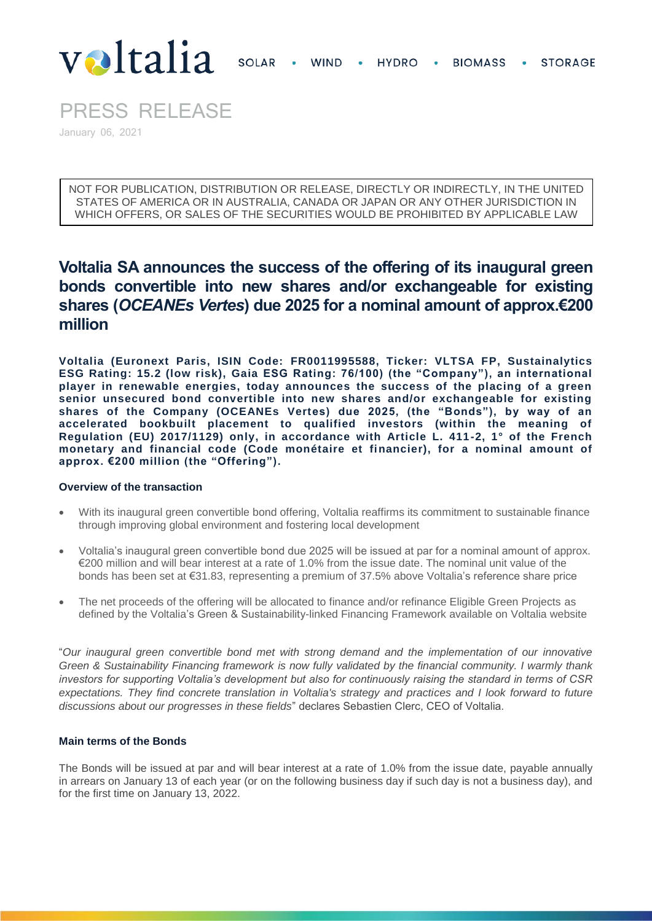

January 06, 2021

NOT FOR PUBLICATION, DISTRIBUTION OR RELEASE, DIRECTLY OR INDIRECTLY, IN THE UNITED STATES OF AMERICA OR IN AUSTRALIA, CANADA OR JAPAN OR ANY OTHER JURISDICTION IN WHICH OFFERS, OR SALES OF THE SECURITIES WOULD BE PROHIBITED BY APPLICABLE LAW

### **Voltalia SA announces the success of the offering of its inaugural green bonds convertible into new shares and/or exchangeable for existing shares (***OCEANEs Vertes***) due 2025 for a nominal amount of approx.€200 million**

**Voltalia (Euronext Paris, ISIN Code: FR0011995588, Ticker: VLTSA FP, Sustainalytics ESG Rating: 15.2 (low risk), Gaia ESG Rating: 76/100) (the "Company"), an international player in renewable energies, today announces the success of the placing of a green senior unsecured bond convertible into new shares and/or exchangeable for existing shares of the Company (OCEANEs Vertes) due 2025, (the "Bonds"), by way of an accelerated bookbuilt placement to qualified investors (within the meaning of Regulation (EU) 2017/1129) only, in accordance with Article L. 411-2, 1° of the French monetary and financial code (Code monétaire et financier), for a nominal amount of approx. €200 million (the "Offering").**

#### **Overview of the transaction**

- With its inaugural green convertible bond offering, Voltalia reaffirms its commitment to sustainable finance through improving global environment and fostering local development
- Voltalia's inaugural green convertible bond due 2025 will be issued at par for a nominal amount of approx. €200 million and will bear interest at a rate of 1.0% from the issue date. The nominal unit value of the bonds has been set at €31.83, representing a premium of 37.5% above Voltalia's reference share price
- The net proceeds of the offering will be allocated to finance and/or refinance Eligible Green Projects as defined by the Voltalia's Green & Sustainability-linked Financing Framework available on Voltalia website

"*Our inaugural green convertible bond met with strong demand and the implementation of our innovative Green & Sustainability Financing framework is now fully validated by the financial community. I warmly thank investors for supporting Voltalia's development but also for continuously raising the standard in terms of CSR expectations. They find concrete translation in Voltalia's strategy and practices and I look forward to future discussions about our progresses in these fields*" declares Sebastien Clerc, CEO of Voltalia.

#### **Main terms of the Bonds**

The Bonds will be issued at par and will bear interest at a rate of 1.0% from the issue date, payable annually in arrears on January 13 of each year (or on the following business day if such day is not a business day), and for the first time on January 13, 2022.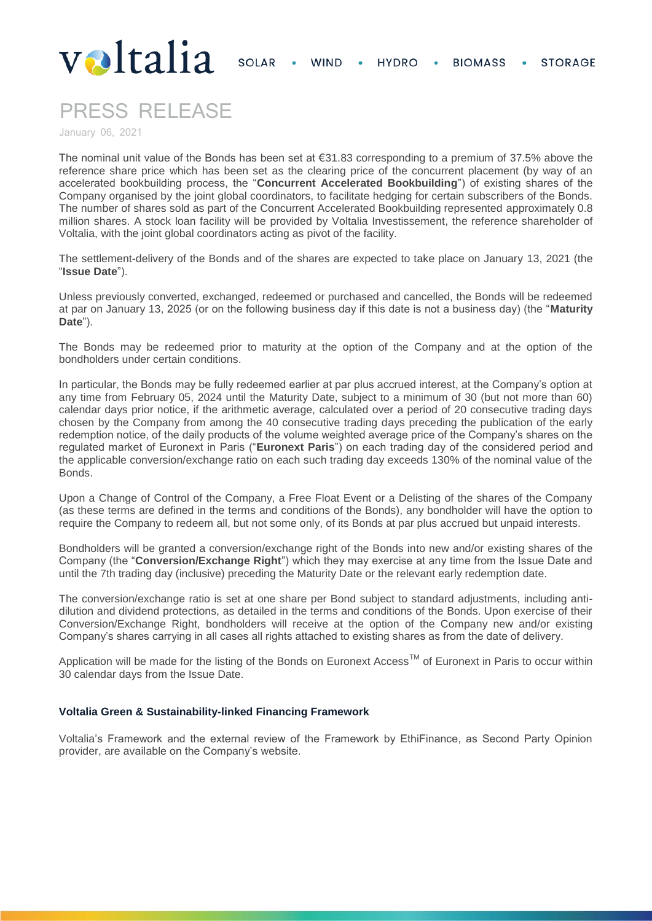# voltalia

### PRESS RELEASE

January 06, 2021

The nominal unit value of the Bonds has been set at €31.83 corresponding to a premium of 37.5% above the reference share price which has been set as the clearing price of the concurrent placement (by way of an accelerated bookbuilding process, the "**Concurrent Accelerated Bookbuilding**") of existing shares of the Company organised by the joint global coordinators, to facilitate hedging for certain subscribers of the Bonds. The number of shares sold as part of the Concurrent Accelerated Bookbuilding represented approximately 0.8 million shares. A stock loan facility will be provided by Voltalia Investissement, the reference shareholder of Voltalia, with the joint global coordinators acting as pivot of the facility.

The settlement-delivery of the Bonds and of the shares are expected to take place on January 13, 2021 (the "**Issue Date**").

Unless previously converted, exchanged, redeemed or purchased and cancelled, the Bonds will be redeemed at par on January 13, 2025 (or on the following business day if this date is not a business day) (the "**Maturity Date**").

The Bonds may be redeemed prior to maturity at the option of the Company and at the option of the bondholders under certain conditions.

In particular, the Bonds may be fully redeemed earlier at par plus accrued interest, at the Company's option at any time from February 05, 2024 until the Maturity Date, subject to a minimum of 30 (but not more than 60) calendar days prior notice, if the arithmetic average, calculated over a period of 20 consecutive trading days chosen by the Company from among the 40 consecutive trading days preceding the publication of the early redemption notice, of the daily products of the volume weighted average price of the Company's shares on the regulated market of Euronext in Paris ("**Euronext Paris**") on each trading day of the considered period and the applicable conversion/exchange ratio on each such trading day exceeds 130% of the nominal value of the Bonds.

Upon a Change of Control of the Company, a Free Float Event or a Delisting of the shares of the Company (as these terms are defined in the terms and conditions of the Bonds), any bondholder will have the option to require the Company to redeem all, but not some only, of its Bonds at par plus accrued but unpaid interests.

Bondholders will be granted a conversion/exchange right of the Bonds into new and/or existing shares of the Company (the "**Conversion/Exchange Right**") which they may exercise at any time from the Issue Date and until the 7th trading day (inclusive) preceding the Maturity Date or the relevant early redemption date.

The conversion/exchange ratio is set at one share per Bond subject to standard adjustments, including antidilution and dividend protections, as detailed in the terms and conditions of the Bonds. Upon exercise of their Conversion/Exchange Right, bondholders will receive at the option of the Company new and/or existing Company's shares carrying in all cases all rights attached to existing shares as from the date of delivery.

Application will be made for the listing of the Bonds on Euronext Access<sup>TM</sup> of Euronext in Paris to occur within 30 calendar days from the Issue Date.

#### **Voltalia Green & Sustainability-linked Financing Framework**

Voltalia's Framework and the external review of the Framework by EthiFinance, as Second Party Opinion provider, are available on the Company's website.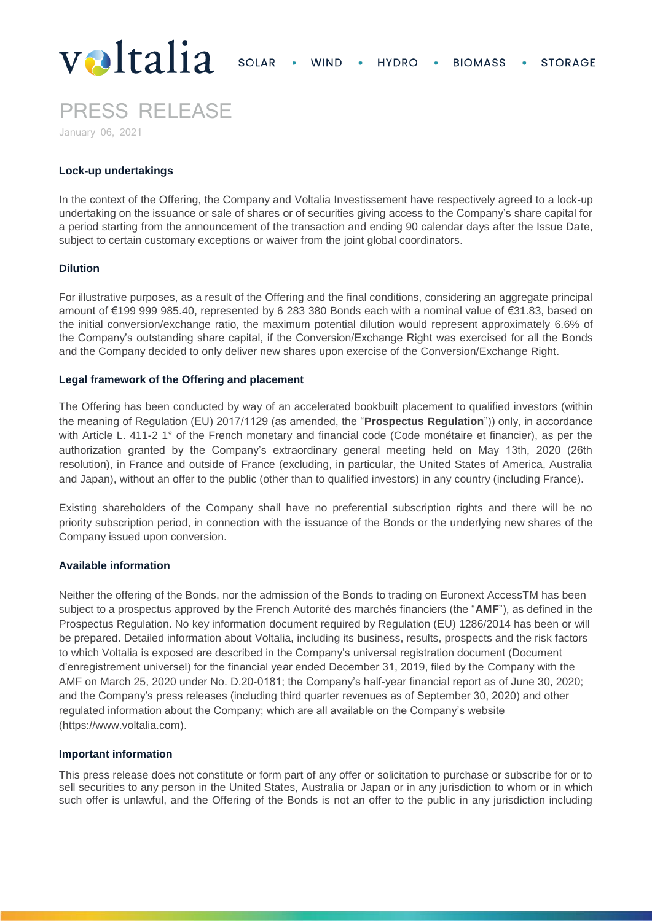

PRESS RELEASE January 06, 2021

#### **Lock-up undertakings**

In the context of the Offering, the Company and Voltalia Investissement have respectively agreed to a lock-up undertaking on the issuance or sale of shares or of securities giving access to the Company's share capital for a period starting from the announcement of the transaction and ending 90 calendar days after the Issue Date, subject to certain customary exceptions or waiver from the joint global coordinators.

#### **Dilution**

For illustrative purposes, as a result of the Offering and the final conditions, considering an aggregate principal amount of €199 999 985.40, represented by 6 283 380 Bonds each with a nominal value of €31.83, based on the initial conversion/exchange ratio, the maximum potential dilution would represent approximately 6.6% of the Company's outstanding share capital, if the Conversion/Exchange Right was exercised for all the Bonds and the Company decided to only deliver new shares upon exercise of the Conversion/Exchange Right.

#### **Legal framework of the Offering and placement**

The Offering has been conducted by way of an accelerated bookbuilt placement to qualified investors (within the meaning of Regulation (EU) 2017/1129 (as amended, the "**Prospectus Regulation**")) only, in accordance with Article L. 411-2 1° of the French monetary and financial code (Code monétaire et financier), as per the authorization granted by the Company's extraordinary general meeting held on May 13th, 2020 (26th resolution), in France and outside of France (excluding, in particular, the United States of America, Australia and Japan), without an offer to the public (other than to qualified investors) in any country (including France).

Existing shareholders of the Company shall have no preferential subscription rights and there will be no priority subscription period, in connection with the issuance of the Bonds or the underlying new shares of the Company issued upon conversion.

#### **Available information**

Neither the offering of the Bonds, nor the admission of the Bonds to trading on Euronext AccessTM has been subject to a prospectus approved by the French Autorité des marchés financiers (the "**AMF**"), as defined in the Prospectus Regulation. No key information document required by Regulation (EU) 1286/2014 has been or will be prepared. Detailed information about Voltalia, including its business, results, prospects and the risk factors to which Voltalia is exposed are described in the Company's universal registration document (Document d'enregistrement universel) for the financial year ended December 31, 2019, filed by the Company with the AMF on March 25, 2020 under No. D.20-0181; the Company's half-year financial report as of June 30, 2020; and the Company's press releases (including third quarter revenues as of September 30, 2020) and other regulated information about the Company; which are all available on the Company's website (https://www.voltalia.com).

#### **Important information**

This press release does not constitute or form part of any offer or solicitation to purchase or subscribe for or to sell securities to any person in the United States, Australia or Japan or in any jurisdiction to whom or in which such offer is unlawful, and the Offering of the Bonds is not an offer to the public in any jurisdiction including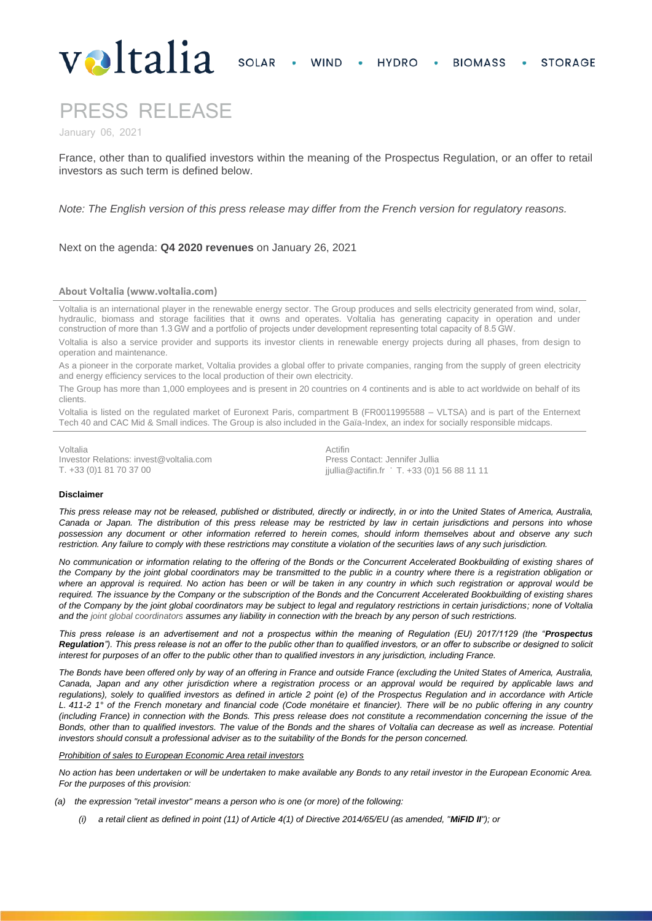voltalia

January 06, 2021

France, other than to qualified investors within the meaning of the Prospectus Regulation, or an offer to retail investors as such term is defined below.

*Note: The English version of this press release may differ from the French version for regulatory reasons.*

Next on the agenda: **Q4 2020 revenues** on January 26, 2021

#### **About Voltalia [\(www.voltalia.com\)](http://www.voltalia.com/)**

Voltalia is an international player in the renewable energy sector. The Group produces and sells electricity generated from wind, solar, hydraulic, biomass and storage facilities that it owns and operates. Voltalia has generating capacity in operation and under construction of more than 1.3 GW and a portfolio of projects under development representing total capacity of 8.5 GW.

Voltalia is also a service provider and supports its investor clients in renewable energy projects during all phases, from design to operation and maintenance.

As a pioneer in the corporate market, Voltalia provides a global offer to private companies, ranging from the supply of green electricity and energy efficiency services to the local production of their own electricity.

The Group has more than 1,000 employees and is present in 20 countries on 4 continents and is able to act worldwide on behalf of its clients.

Voltalia is listed on the regulated market of Euronext Paris, compartment B (FR0011995588 – VLTSA) and is part of the Enternext Tech 40 and CAC Mid & Small indices. The Group is also included in the Gaïa-Index, an index for socially responsible midcaps.

Voltalia Investor Relations[: invest@voltalia.com](mailto:invest@voltalia.com) T. +33 (0)1 81 70 37 00

Actifin Press Contact: Jennifer Jullia jjullia@actifin.fr **.** T. +33 (0)1 56 88 11 11

#### **Disclaimer**

*This press release may not be released, published or distributed, directly or indirectly, in or into the United States of America, Australia, Canada or Japan. The distribution of this press release may be restricted by law in certain jurisdictions and persons into whose possession any document or other information referred to herein comes, should inform themselves about and observe any such restriction. Any failure to comply with these restrictions may constitute a violation of the securities laws of any such jurisdiction.*

*No communication or information relating to the offering of the Bonds or the Concurrent Accelerated Bookbuilding of existing shares of the Company by the joint global coordinators may be transmitted to the public in a country where there is a registration obligation or where an approval is required. No action has been or will be taken in any country in which such registration or approval would be required. The issuance by the Company or the subscription of the Bonds and the Concurrent Accelerated Bookbuilding of existing shares of the Company by the joint global coordinators may be subject to legal and regulatory restrictions in certain jurisdictions; none of Voltalia and the joint global coordinators assumes any liability in connection with the breach by any person of such restrictions.*

*This press release is an advertisement and not a prospectus within the meaning of Regulation (EU) 2017/1129 (the "Prospectus Regulation"). This press release is not an offer to the public other than to qualified investors, or an offer to subscribe or designed to solicit interest for purposes of an offer to the public other than to qualified investors in any jurisdiction, including France.*

*The Bonds have been offered only by way of an offering in France and outside France (excluding the United States of America, Australia, Canada, Japan and any other jurisdiction where a registration process or an approval would be required by applicable laws and*  regulations), solely to qualified investors as defined in article 2 point (e) of the Prospectus Regulation and in accordance with Article *L. 411-2 1° of the French monetary and financial code (Code monétaire et financier). There will be no public offering in any country (including France) in connection with the Bonds. This press release does not constitute a recommendation concerning the issue of the Bonds, other than to qualified investors. The value of the Bonds and the shares of Voltalia can decrease as well as increase. Potential investors should consult a professional adviser as to the suitability of the Bonds for the person concerned.*

#### *Prohibition of sales to European Economic Area retail investors*

*No action has been undertaken or will be undertaken to make available any Bonds to any retail investor in the European Economic Area. For the purposes of this provision:*

- *(a) the expression "retail investor" means a person who is one (or more) of the following:*
	- *(i) a retail client as defined in point (11) of Article 4(1) of Directive 2014/65/EU (as amended, "MiFID II"); or*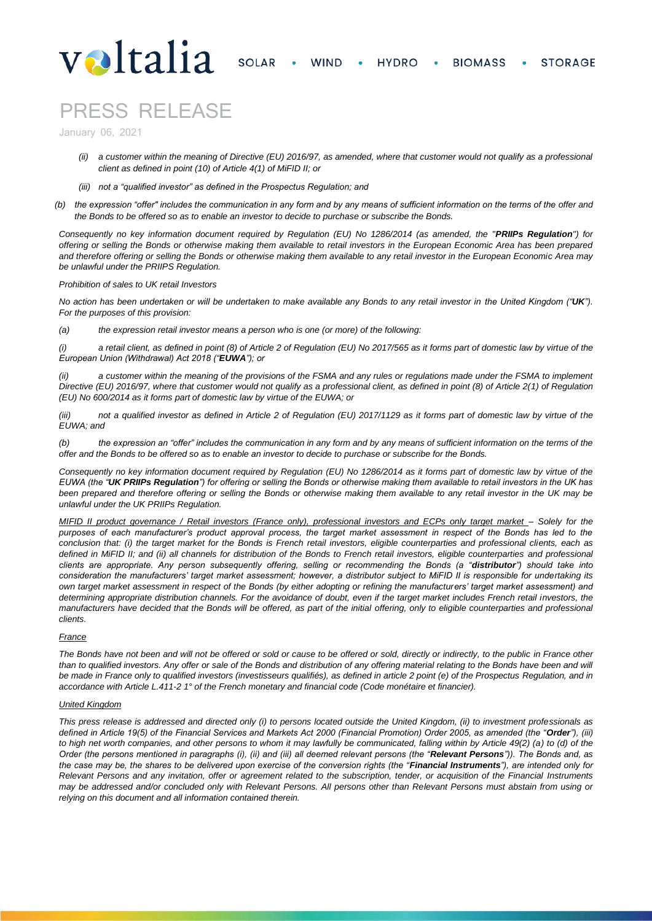voltalia

January 06, 2021

- *(ii) a customer within the meaning of Directive (EU) 2016/97, as amended, where that customer would not qualify as a professional client as defined in point (10) of Article 4(1) of MiFID II; or*
- *(iii) not a "qualified investor" as defined in the Prospectus Regulation; and*
- *(b) the expression "offer" includes the communication in any form and by any means of sufficient information on the terms of the offer and the Bonds to be offered so as to enable an investor to decide to purchase or subscribe the Bonds.*

*Consequently no key information document required by Regulation (EU) No 1286/2014 (as amended, the "PRIIPs Regulation") for offering or selling the Bonds or otherwise making them available to retail investors in the European Economic Area has been prepared and therefore offering or selling the Bonds or otherwise making them available to any retail investor in the European Economic Area may be unlawful under the PRIIPS Regulation.*

#### *Prohibition of sales to UK retail Investors*

*No action has been undertaken or will be undertaken to make available any Bonds to any retail investor in the United Kingdom ("UK"). For the purposes of this provision:*

*(a) the expression retail investor means a person who is one (or more) of the following:*

*(i) a retail client, as defined in point (8) of Article 2 of Regulation (EU) No 2017/565 as it forms part of domestic law by virtue of the European Union (Withdrawal) Act 2018 ("EUWA"); or*

*(ii) a customer within the meaning of the provisions of the FSMA and any rules or regulations made under the FSMA to implement Directive (EU) 2016/97, where that customer would not qualify as a professional client, as defined in point (8) of Article 2(1) of Regulation (EU) No 600/2014 as it forms part of domestic law by virtue of the EUWA; or*

*(iii) not a qualified investor as defined in Article 2 of Regulation (EU) 2017/1129 as it forms part of domestic law by virtue of the EUWA; and*

*(b) the expression an "offer" includes the communication in any form and by any means of sufficient information on the terms of the offer and the Bonds to be offered so as to enable an investor to decide to purchase or subscribe for the Bonds.*

*Consequently no key information document required by Regulation (EU) No 1286/2014 as it forms part of domestic law by virtue of the EUWA (the "UK PRIIPs Regulation") for offering or selling the Bonds or otherwise making them available to retail investors in the UK has been prepared and therefore offering or selling the Bonds or otherwise making them available to any retail investor in the UK may be unlawful under the UK PRIIPs Regulation.*

*MIFID II product governance / Retail investors (France only), professional investors and ECPs only target market – Solely for the purposes of each manufacturer's product approval process, the target market assessment in respect of the Bonds has led to the conclusion that: (i) the target market for the Bonds is French retail investors, eligible counterparties and professional clients, each as*  defined in MiFID II; and (ii) all channels for distribution of the Bonds to French retail investors, eligible counterparties and professional *clients are appropriate. Any person subsequently offering, selling or recommending the Bonds (a "distributor") should take into consideration the manufacturers' target market assessment; however, a distributor subject to MiFID II is responsible for undertaking its own target market assessment in respect of the Bonds (by either adopting or refining the manufacturers' target market assessment) and determining appropriate distribution channels. For the avoidance of doubt, even if the target market includes French retail investors, the manufacturers have decided that the Bonds will be offered, as part of the initial offering, only to eligible counterparties and professional clients.*

#### *France*

The Bonds have not been and will not be offered or sold or cause to be offered or sold, directly or indirectly, to the public in France other than to qualified investors. Any offer or sale of the Bonds and distribution of any offering material relating to the Bonds have been and will *be made in France only to qualified investors (investisseurs qualifiés), as defined in article 2 point (e) of the Prospectus Regulation, and in accordance with Article L.411-2 1° of the French monetary and financial code (Code monétaire et financier).*

#### *United Kingdom*

*This press release is addressed and directed only (i) to persons located outside the United Kingdom, (ii) to investment professionals as defined in Article 19(5) of the Financial Services and Markets Act 2000 (Financial Promotion) Order 2005, as amended (the "Order"), (iii) to high net worth companies, and other persons to whom it may lawfully be communicated, falling within by Article 49(2) (a) to (d) of the Order (the persons mentioned in paragraphs (i), (ii) and (iii) all deemed relevant persons (the "Relevant Persons")). The Bonds and, as the case may be, the shares to be delivered upon exercise of the conversion rights (the "Financial Instruments"), are intended only for Relevant Persons and any invitation, offer or agreement related to the subscription, tender, or acquisition of the Financial Instruments may be addressed and/or concluded only with Relevant Persons. All persons other than Relevant Persons must abstain from using or relying on this document and all information contained therein.*